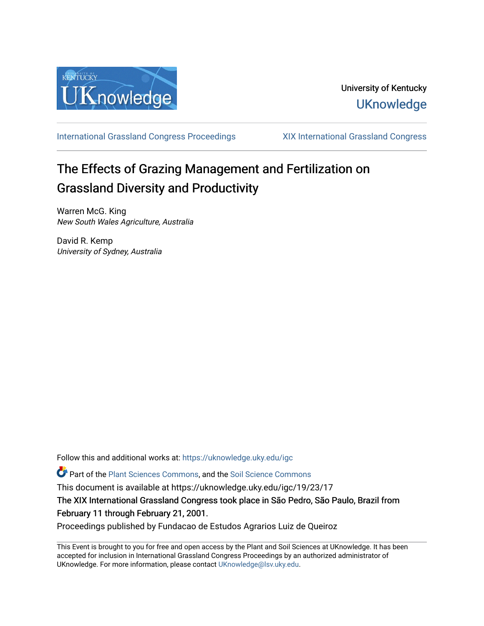

[International Grassland Congress Proceedings](https://uknowledge.uky.edu/igc) [XIX International Grassland Congress](https://uknowledge.uky.edu/igc/19) 

# The Effects of Grazing Management and Fertilization on Grassland Diversity and Productivity

Warren McG. King New South Wales Agriculture, Australia

David R. Kemp University of Sydney, Australia

Follow this and additional works at: [https://uknowledge.uky.edu/igc](https://uknowledge.uky.edu/igc?utm_source=uknowledge.uky.edu%2Figc%2F19%2F23%2F17&utm_medium=PDF&utm_campaign=PDFCoverPages) 

Part of the [Plant Sciences Commons](http://network.bepress.com/hgg/discipline/102?utm_source=uknowledge.uky.edu%2Figc%2F19%2F23%2F17&utm_medium=PDF&utm_campaign=PDFCoverPages), and the [Soil Science Commons](http://network.bepress.com/hgg/discipline/163?utm_source=uknowledge.uky.edu%2Figc%2F19%2F23%2F17&utm_medium=PDF&utm_campaign=PDFCoverPages) 

This document is available at https://uknowledge.uky.edu/igc/19/23/17

The XIX International Grassland Congress took place in São Pedro, São Paulo, Brazil from February 11 through February 21, 2001.

Proceedings published by Fundacao de Estudos Agrarios Luiz de Queiroz

This Event is brought to you for free and open access by the Plant and Soil Sciences at UKnowledge. It has been accepted for inclusion in International Grassland Congress Proceedings by an authorized administrator of UKnowledge. For more information, please contact [UKnowledge@lsv.uky.edu](mailto:UKnowledge@lsv.uky.edu).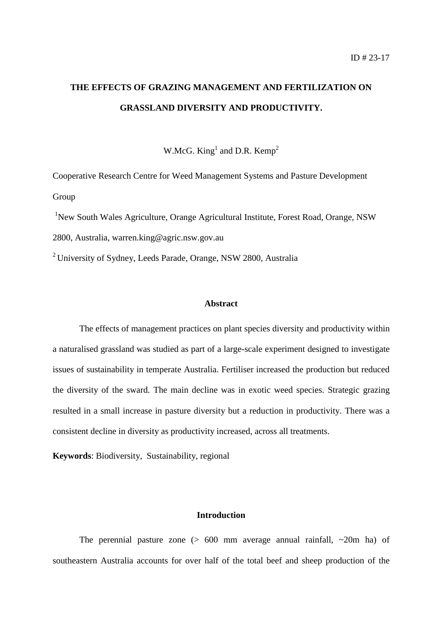# **THE EFFECTS OF GRAZING MANAGEMENT AND FERTILIZATION ON GRASSLAND DIVERSITY AND PRODUCTIVITY.**

W.McG. King<sup>1</sup> and D.R. Kemp<sup>2</sup>

Cooperative Research Centre for Weed Management Systems and Pasture Development Group

<sup>1</sup>New South Wales Agriculture, Orange Agricultural Institute, Forest Road, Orange, NSW 2800, Australia, warren.king@agric.nsw.gov.au

2 University of Sydney, Leeds Parade, Orange, NSW 2800, Australia

#### **Abstract**

The effects of management practices on plant species diversity and productivity within a naturalised grassland was studied as part of a large-scale experiment designed to investigate issues of sustainability in temperate Australia. Fertiliser increased the production but reduced the diversity of the sward. The main decline was in exotic weed species. Strategic grazing resulted in a small increase in pasture diversity but a reduction in productivity. There was a consistent decline in diversity as productivity increased, across all treatments.

**Keywords**: Biodiversity, Sustainability, regional

#### **Introduction**

The perennial pasture zone  $(> 600$  mm average annual rainfall,  $\sim 20$ m ha) of southeastern Australia accounts for over half of the total beef and sheep production of the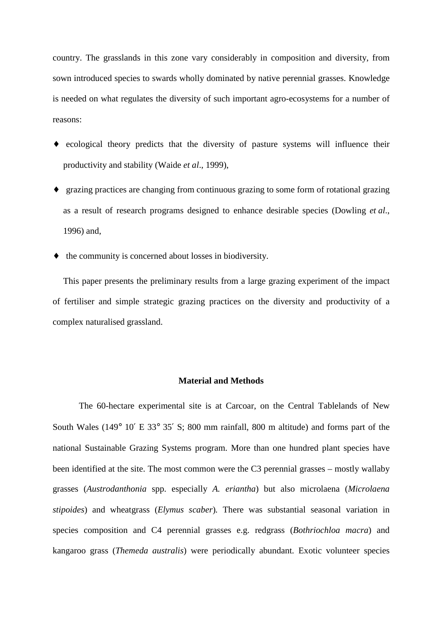country. The grasslands in this zone vary considerably in composition and diversity, from sown introduced species to swards wholly dominated by native perennial grasses. Knowledge is needed on what regulates the diversity of such important agro-ecosystems for a number of reasons:

- ♦ ecological theory predicts that the diversity of pasture systems will influence their productivity and stability (Waide *et al*., 1999),
- ♦ grazing practices are changing from continuous grazing to some form of rotational grazing as a result of research programs designed to enhance desirable species (Dowling *et al*., 1996) and,
- ♦ the community is concerned about losses in biodiversity.

This paper presents the preliminary results from a large grazing experiment of the impact of fertiliser and simple strategic grazing practices on the diversity and productivity of a complex naturalised grassland.

#### **Material and Methods**

The 60-hectare experimental site is at Carcoar, on the Central Tablelands of New South Wales (149° 10′ E 33° 35′ S; 800 mm rainfall, 800 m altitude) and forms part of the national Sustainable Grazing Systems program. More than one hundred plant species have been identified at the site. The most common were the C3 perennial grasses – mostly wallaby grasses (*Austrodanthonia* spp. especially *A. eriantha*) but also microlaena (*Microlaena stipoides*) and wheatgrass (*Elymus scaber*)*.* There was substantial seasonal variation in species composition and C4 perennial grasses e.g. redgrass (*Bothriochloa macra*) and kangaroo grass (*Themeda australis*) were periodically abundant. Exotic volunteer species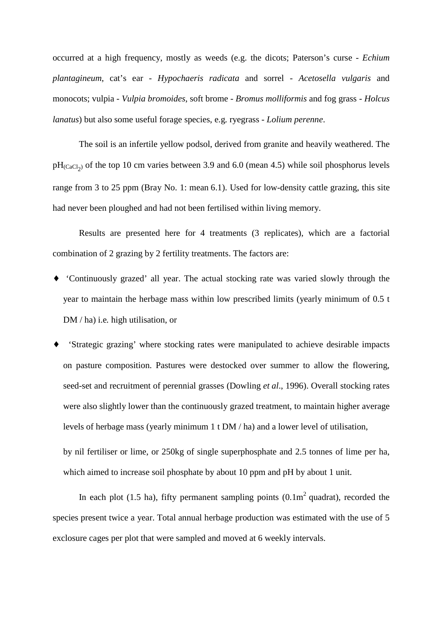occurred at a high frequency, mostly as weeds (e.g. the dicots; Paterson's curse - *Echium plantagineum*, cat's ear - *Hypochaeris radicata* and sorrel - *Acetosella vulgaris* and monocots; vulpia - *Vulpia bromoides*, soft brome - *Bromus molliformis* and fog grass - *Holcus lanatus*) but also some useful forage species, e.g*.* ryegrass - *Lolium perenne*.

The soil is an infertile yellow podsol, derived from granite and heavily weathered. The  $pH_{(CaCl<sub>2</sub>)}$  of the top 10 cm varies between 3.9 and 6.0 (mean 4.5) while soil phosphorus levels range from 3 to 25 ppm (Bray No. 1: mean 6.1). Used for low-density cattle grazing, this site had never been ploughed and had not been fertilised within living memory.

Results are presented here for 4 treatments (3 replicates), which are a factorial combination of 2 grazing by 2 fertility treatments. The factors are:

- ♦ 'Continuously grazed' all year. The actual stocking rate was varied slowly through the year to maintain the herbage mass within low prescribed limits (yearly minimum of 0.5 t DM / ha) i.e*.* high utilisation, or
- ♦ 'Strategic grazing' where stocking rates were manipulated to achieve desirable impacts on pasture composition. Pastures were destocked over summer to allow the flowering, seed-set and recruitment of perennial grasses (Dowling *et al*., 1996). Overall stocking rates were also slightly lower than the continuously grazed treatment, to maintain higher average levels of herbage mass (yearly minimum 1 t DM / ha) and a lower level of utilisation,

by nil fertiliser or lime, or 250kg of single superphosphate and 2.5 tonnes of lime per ha, which aimed to increase soil phosphate by about 10 ppm and pH by about 1 unit.

In each plot (1.5 ha), fifty permanent sampling points  $(0.1\text{m}^2 \text{ quadrant})$ , recorded the species present twice a year. Total annual herbage production was estimated with the use of 5 exclosure cages per plot that were sampled and moved at 6 weekly intervals.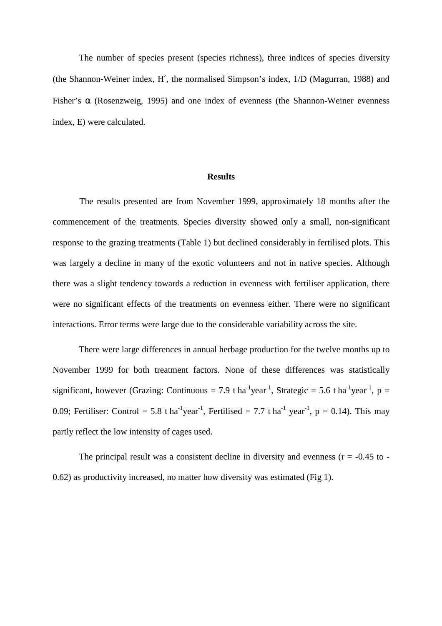The number of species present (species richness), three indices of species diversity (the Shannon-Weiner index, H′, the normalised Simpson's index, 1/D (Magurran, 1988) and Fisher's  $\alpha$  (Rosenzweig, 1995) and one index of evenness (the Shannon-Weiner evenness index, E) were calculated.

#### **Results**

The results presented are from November 1999, approximately 18 months after the commencement of the treatments. Species diversity showed only a small, non-significant response to the grazing treatments (Table 1) but declined considerably in fertilised plots. This was largely a decline in many of the exotic volunteers and not in native species. Although there was a slight tendency towards a reduction in evenness with fertiliser application, there were no significant effects of the treatments on evenness either. There were no significant interactions. Error terms were large due to the considerable variability across the site.

There were large differences in annual herbage production for the twelve months up to November 1999 for both treatment factors. None of these differences was statistically significant, however (Grazing: Continuous = 7.9 t ha<sup>-1</sup>year<sup>-1</sup>, Strategic = 5.6 t ha<sup>-1</sup>year<sup>-1</sup>, p = 0.09; Fertiliser: Control = 5.8 t ha<sup>-1</sup>year<sup>-1</sup>, Fertilised = 7.7 t ha<sup>-1</sup> year<sup>-1</sup>, p = 0.14). This may partly reflect the low intensity of cages used.

The principal result was a consistent decline in diversity and evenness ( $r = -0.45$  to -0.62) as productivity increased, no matter how diversity was estimated (Fig 1).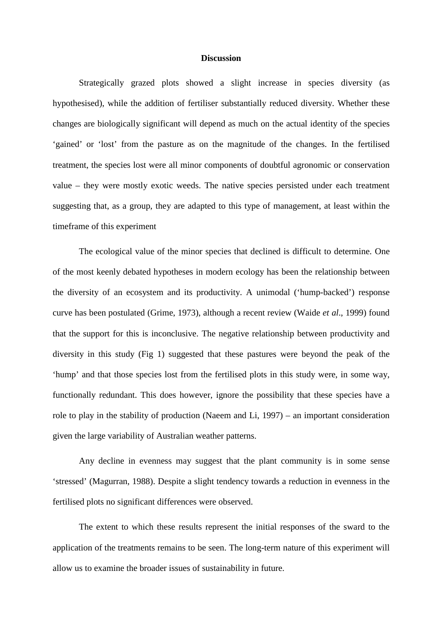#### **Discussion**

Strategically grazed plots showed a slight increase in species diversity (as hypothesised), while the addition of fertiliser substantially reduced diversity. Whether these changes are biologically significant will depend as much on the actual identity of the species 'gained' or 'lost' from the pasture as on the magnitude of the changes. In the fertilised treatment, the species lost were all minor components of doubtful agronomic or conservation value – they were mostly exotic weeds. The native species persisted under each treatment suggesting that, as a group, they are adapted to this type of management, at least within the timeframe of this experiment

The ecological value of the minor species that declined is difficult to determine. One of the most keenly debated hypotheses in modern ecology has been the relationship between the diversity of an ecosystem and its productivity. A unimodal ('hump-backed') response curve has been postulated (Grime, 1973), although a recent review (Waide *et al*., 1999) found that the support for this is inconclusive. The negative relationship between productivity and diversity in this study (Fig 1) suggested that these pastures were beyond the peak of the 'hump' and that those species lost from the fertilised plots in this study were, in some way, functionally redundant. This does however, ignore the possibility that these species have a role to play in the stability of production (Naeem and Li, 1997) – an important consideration given the large variability of Australian weather patterns.

Any decline in evenness may suggest that the plant community is in some sense 'stressed' (Magurran, 1988). Despite a slight tendency towards a reduction in evenness in the fertilised plots no significant differences were observed.

The extent to which these results represent the initial responses of the sward to the application of the treatments remains to be seen. The long-term nature of this experiment will allow us to examine the broader issues of sustainability in future.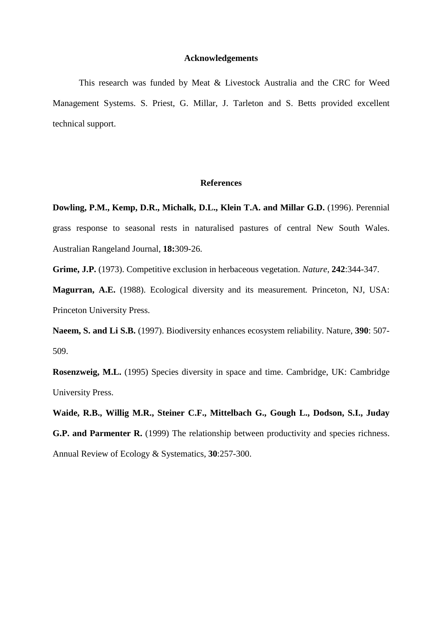## **Acknowledgements**

This research was funded by Meat & Livestock Australia and the CRC for Weed Management Systems. S. Priest, G. Millar, J. Tarleton and S. Betts provided excellent technical support.

## **References**

**Dowling, P.M., Kemp, D.R., Michalk, D.L., Klein T.A. and Millar G.D.** (1996). Perennial grass response to seasonal rests in naturalised pastures of central New South Wales. Australian Rangeland Journal*,* **18:**309-26.

**Grime, J.P.** (1973). Competitive exclusion in herbaceous vegetation. *Nature*, **242**:344-347.

**Magurran, A.E.** (1988). Ecological diversity and its measurement*.* Princeton, NJ, USA: Princeton University Press.

**Naeem, S. and Li S.B.** (1997). Biodiversity enhances ecosystem reliability. Nature, **390**: 507- 509.

**Rosenzweig, M.L.** (1995) Species diversity in space and time. Cambridge, UK: Cambridge University Press.

**Waide, R.B., Willig M.R., Steiner C.F., Mittelbach G., Gough L., Dodson, S.I., Juday G.P. and Parmenter R.** (1999) The relationship between productivity and species richness. Annual Review of Ecology & Systematics, **30**:257-300.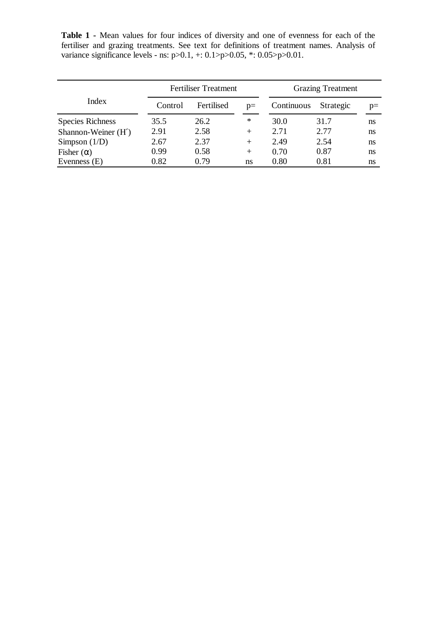**Table 1 -** Mean values for four indices of diversity and one of evenness for each of the fertiliser and grazing treatments. See text for definitions of treatment names. Analysis of variance significance levels - ns: p>0.1, +: 0.1>p>0.05, \*: 0.05>p>0.01.

|                         | <b>Fertiliser Treatment</b> |            |        | <b>Grazing Treatment</b> |           |      |
|-------------------------|-----------------------------|------------|--------|--------------------------|-----------|------|
| Index                   | Control                     | Fertilised | $p=$   | Continuous               | Strategic | $p=$ |
| <b>Species Richness</b> | 35.5                        | 26.2       | $\ast$ | 30.0                     | 31.7      | ns   |
| Shannon-Weiner (H')     | 2.91                        | 2.58       | $^{+}$ | 2.71                     | 2.77      | ns   |
| Simpson $(1/D)$         | 2.67                        | 2.37       | $^{+}$ | 2.49                     | 2.54      | ns   |
| Fisher $(\alpha)$       | 0.99                        | 0.58       | $^{+}$ | 0.70                     | 0.87      | ns   |
| Evenness $(E)$          | 0.82                        | 0.79       | ns     | 0.80                     | 0.81      | ns   |